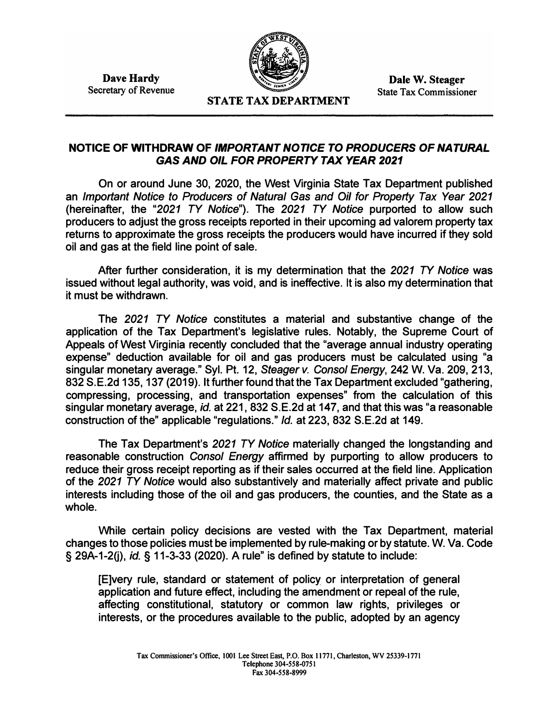**Dave Hardy**  Secretary of Revenue



**Dale W. Steager**  State Tax Commissioner

## **NOTICE OF WITHDRAW OF** *IMPORTANT NOTICE* **TO** *PRODUCERS OF NATURAL GAS AND OIL FOR PROPERTY TAX YEAR 2021*

**On or around June 30, 2020, the West Virginia State Tax Department published an** *Important Notice to Producers of Natural* **Gas** *and Oil for Property Tax Year 2021*  **(hereinafter, the** *"2021 TY Notice").* **The** *2021 TY Notice* **purported to allow such producers to adjust the gross receipts reported in their upcoming ad valorem property tax returns to approximate the gross receipts the producers would have incurred if they sold oil and gas at the field line point of sale.** 

**After further consideration, it is my determination that the** *2021 TY Notice* **was issued without legal authority, was void, and is ineffective. It is also my determination that it must be withdrawn.** 

**The** *2021 TY Notice* **constitutes a material and substantive change of the application of the Tax Department's legislative rules. Notably, the Supreme Court of Appeals of West Virginia recently concluded that the "average annual industry operating expense" deduction available for oil and gas producers must be calculated using "a singular monetary average." Syl. Pt. 12,** *Steagerv. Consol Energy,* **242 W. Va. 209,213, 832 S.E.2d 135, 137 (2019). It further found that the Tax Department excluded "gathering, compressing, processing, and transportation expenses" from the calculation of this singular monetary average,** *id.* **at 221, 832 S.E.2d at 147, and that this was "a reasonable construction of the" applicable "regulations."** *Id.* **at 223, 832 S.E.2d at 149.** 

**The Tax Department's** *2021 TY Notice* **materially changed the longstanding and reasonable construction** *Consol Energy* **affirmed by purporting to allow producers to reduce their gross receipt reporting as if their sales occurred at the field line. Application of the** *2021 TY Notice* **would also substantively and materially affect private and public interests including those of the oil and gas producers, the counties, and the State as a whole.** 

**While certain policy decisions are vested with the Tax Department, material changes to those policies must be implemented by rule-making or by statute. W. Va. Code § 29A-1-20),** *id.§* **11-3-33 (2020). A rule" is defined by statute to include:**

**[E]very rule, standard or statement of policy or interpretation of general application and future effect, including the amendment or repeal of the rule, affecting constitutional, statutory or common law rights, privileges or interests, or the procedures available to the public, adopted by an agency**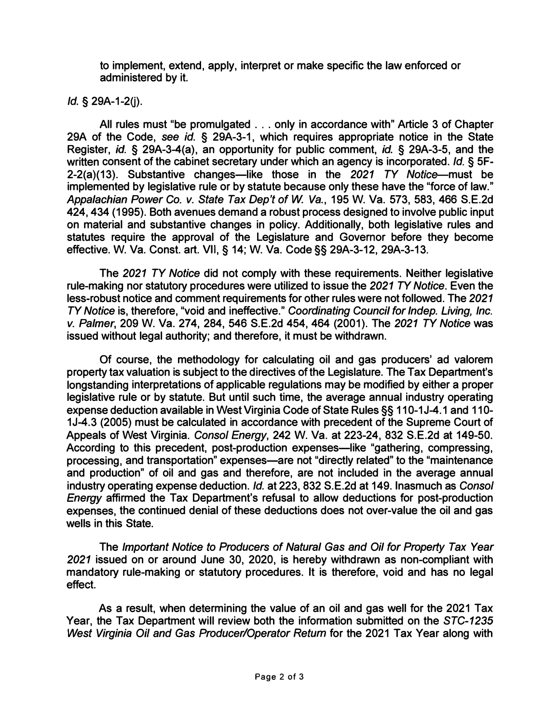**to implement, extend, apply, interpret or make specific the law enforced or administered by it.** 

*Id.* **§ 29A-1-2(j).** 

**All rules must "be promulgated . .. only in accordance with" Article 3 of Chapter 29A of the Code,** *see id.* **§ 29A-3-1, which requires appropriate notice in the State Register,** *id.* **§ 29A-3-4(a), an opportunity for public comment,** *id.* **§ 29A-3-5, and the written consent of the cabinet secretary under which an agency is incorporated.** *Id.* **§ 5F-2-2(a)(13). Substantive changes-like those in the** *2021 TY* **Notice-must be implemented by legislative rule or by statute because only these have the "force of law."** *Appalachian Power* **Co.** *v. State Tax Dep't* **of W** *Va.,* **195 W. Va. 573, 583, 466 S.E.2d 424, 434 (1995). Both avenues demand a robust process designed to involve public input on material and substantive changes in policy. Additionally, both legislative rules and statutes require the approval of the Legislature and Governor before they become effective. W. Va. Const. art. VII,§ 14; W. Va. Code§§ 29A-3-12, 29A-3-13.**

**The** *2021 TY Notice* **did not comply with these requirements. Neither legislative rule-making nor statutory procedures were utilized to issue the** *2021 TY Notice.* **Even the less-robust notice and comment requirements for other rules were not followed. The** *2021 TY Notice* **is, therefore, "void and ineffective."** *Coordinating Council for lndep. Living, Inc. v. Palmer,* **209 W. Va. 274, 284, 546 S.E.2d 454, 464 (2001). The** *2021 TY Notice* **was issued without legal authority; and therefore, it must be withdrawn.**

**Of course, the methodology for calculating oil and gas producers' ad valorem property tax valuation is subject to the directives of the Legislature. The Tax Department's longstanding interpretations of applicable regulations may be modified by either a proper legislative rule or by statute. But until such time, the average annual industry operating expense deduction available in West Virginia Code of State Rules§§ 110-1 J-4.1 and 110- 1 J-4.3 (2005) must be calculated in accordance with precedent of the Supreme Court of Appeals of West Virginia. Consol** *Energy,* **242 W. Va. at 223-24, 832 S.E.2d at 149-50.**  According to this precedent, post-production expenses—like "gathering, compressing, **processing, and transportation" expenses-are not "directly related" to the "maintenance and production" of oil and gas and therefore, are not included in the average annual industry operating expense deduction.** *Id.* **at 223, 832 S.E.2d at 149. Inasmuch as Consol**  *Energy* **affirmed the Tax Department's refusal to allow deductions for post-production expenses, the continued denial of these deductions does not over-value the oil and gas wells in this State.** 

**The** *Important Notice* **to** *Producers* **of** *Natural Gas and Oil for Property Tax Year 2021* **issued on or around June 30, 2020, is hereby withdrawn as non-compliant with mandatory rule-making or statutory procedures. It is therefore, void and has no legal effect.** 

**As a result, when determining the value of an oil and gas well for the 2021 Tax Year, the Tax Department will review both the information submitted on the** *STC-1235 West Virginia Oil and Gas Producer/Operator Return* **for the 2021 Tax Year along with**